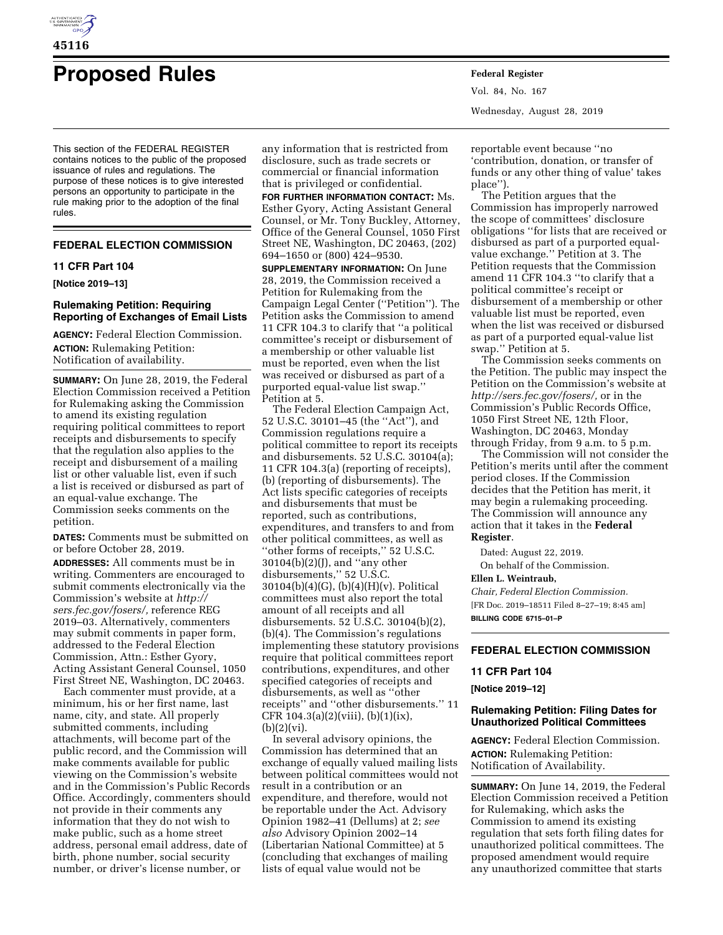

# **Proposed Rules Federal Register**

This section of the FEDERAL REGISTER contains notices to the public of the proposed issuance of rules and regulations. The purpose of these notices is to give interested persons an opportunity to participate in the rule making prior to the adoption of the final rules.

## **FEDERAL ELECTION COMMISSION**

## **11 CFR Part 104**

**[Notice 2019–13]** 

# **Rulemaking Petition: Requiring Reporting of Exchanges of Email Lists**

**AGENCY:** Federal Election Commission. **ACTION:** Rulemaking Petition: Notification of availability.

**SUMMARY:** On June 28, 2019, the Federal Election Commission received a Petition for Rulemaking asking the Commission to amend its existing regulation requiring political committees to report receipts and disbursements to specify that the regulation also applies to the receipt and disbursement of a mailing list or other valuable list, even if such a list is received or disbursed as part of an equal-value exchange. The Commission seeks comments on the petition.

**DATES:** Comments must be submitted on or before October 28, 2019.

**ADDRESSES:** All comments must be in writing. Commenters are encouraged to submit comments electronically via the Commission's website at *[http://](http://sers.fec.gov/fosers/) [sers.fec.gov/fosers/,](http://sers.fec.gov/fosers/)* reference REG 2019–03. Alternatively, commenters may submit comments in paper form, addressed to the Federal Election Commission, Attn.: Esther Gyory, Acting Assistant General Counsel, 1050 First Street NE, Washington, DC 20463.

Each commenter must provide, at a minimum, his or her first name, last name, city, and state. All properly submitted comments, including attachments, will become part of the public record, and the Commission will make comments available for public viewing on the Commission's website and in the Commission's Public Records Office. Accordingly, commenters should not provide in their comments any information that they do not wish to make public, such as a home street address, personal email address, date of birth, phone number, social security number, or driver's license number, or

any information that is restricted from disclosure, such as trade secrets or commercial or financial information that is privileged or confidential.

**FOR FURTHER INFORMATION CONTACT:** Ms. Esther Gyory, Acting Assistant General Counsel, or Mr. Tony Buckley, Attorney, Office of the General Counsel, 1050 First Street NE, Washington, DC 20463, (202) 694–1650 or (800) 424–9530.

**SUPPLEMENTARY INFORMATION:** On June 28, 2019, the Commission received a Petition for Rulemaking from the Campaign Legal Center (''Petition''). The Petition asks the Commission to amend 11 CFR 104.3 to clarify that ''a political committee's receipt or disbursement of a membership or other valuable list must be reported, even when the list was received or disbursed as part of a purported equal-value list swap.'' Petition at 5.

The Federal Election Campaign Act, 52 U.S.C. 30101–45 (the ''Act''), and Commission regulations require a political committee to report its receipts and disbursements. 52 U.S.C. 30104(a); 11 CFR 104.3(a) (reporting of receipts), (b) (reporting of disbursements). The Act lists specific categories of receipts and disbursements that must be reported, such as contributions, expenditures, and transfers to and from other political committees, as well as ''other forms of receipts,'' 52 U.S.C. 30104(b)(2)(J), and ''any other disbursements,'' 52 U.S.C. 30104(b)(4)(G), (b)(4)(H)(v). Political committees must also report the total amount of all receipts and all disbursements. 52 U.S.C. 30104(b)(2), (b)(4). The Commission's regulations implementing these statutory provisions require that political committees report contributions, expenditures, and other specified categories of receipts and disbursements, as well as ''other receipts'' and ''other disbursements.'' 11 CFR  $104.3(a)(2)(viii)$ ,  $(b)(1)(ix)$ ,  $(b)(2)(vi).$ 

In several advisory opinions, the Commission has determined that an exchange of equally valued mailing lists between political committees would not result in a contribution or an expenditure, and therefore, would not be reportable under the Act. Advisory Opinion 1982–41 (Dellums) at 2; *see also* Advisory Opinion 2002–14 (Libertarian National Committee) at 5 (concluding that exchanges of mailing lists of equal value would not be

Vol. 84, No. 167 Wednesday, August 28, 2019

reportable event because ''no 'contribution, donation, or transfer of funds or any other thing of value' takes place'').

The Petition argues that the Commission has improperly narrowed the scope of committees' disclosure obligations ''for lists that are received or disbursed as part of a purported equalvalue exchange.'' Petition at 3. The Petition requests that the Commission amend 11 CFR 104.3 ''to clarify that a political committee's receipt or disbursement of a membership or other valuable list must be reported, even when the list was received or disbursed as part of a purported equal-value list swap.'' Petition at 5.

The Commission seeks comments on the Petition. The public may inspect the Petition on the Commission's website at *[http://sers.fec.gov/fosers/,](http://sers.fec.gov/fosers/)* or in the Commission's Public Records Office, 1050 First Street NE, 12th Floor, Washington, DC 20463, Monday through Friday, from 9 a.m. to 5 p.m.

The Commission will not consider the Petition's merits until after the comment period closes. If the Commission decides that the Petition has merit, it may begin a rulemaking proceeding. The Commission will announce any action that it takes in the **Federal Register**.

Dated: August 22, 2019. On behalf of the Commission.

# **Ellen L. Weintraub,**

*Chair, Federal Election Commission.*  [FR Doc. 2019–18511 Filed 8–27–19; 8:45 am] **BILLING CODE 6715–01–P** 

# **FEDERAL ELECTION COMMISSION**

#### **11 CFR Part 104**

**[Notice 2019–12]** 

## **Rulemaking Petition: Filing Dates for Unauthorized Political Committees**

**AGENCY:** Federal Election Commission. **ACTION:** Rulemaking Petition: Notification of Availability.

**SUMMARY:** On June 14, 2019, the Federal Election Commission received a Petition for Rulemaking, which asks the Commission to amend its existing regulation that sets forth filing dates for unauthorized political committees. The proposed amendment would require any unauthorized committee that starts